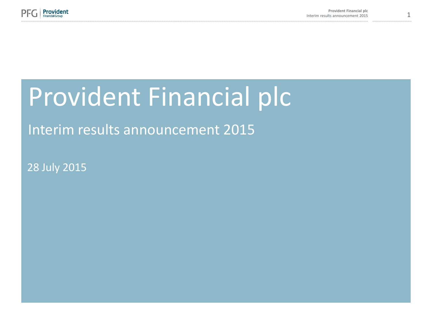

# Provident Financial plc

# Interim results announcement 2015

28 July 2015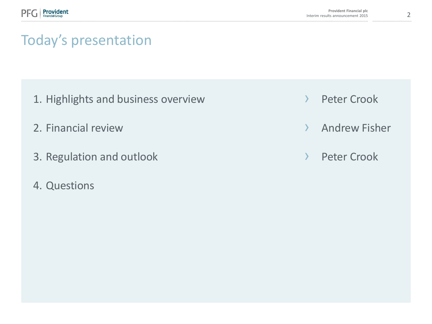# Today's presentation

- 1. Highlights and business overview
- 2. Financial review
- 3. Regulation and outlook
- 4. Questions
- › Peter Crook
- › Andrew Fisher
- › Peter Crook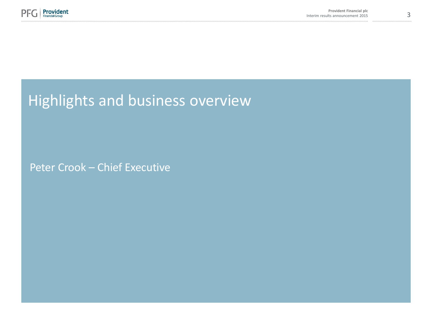

# Highlights and business overview

Peter Crook – Chief Executive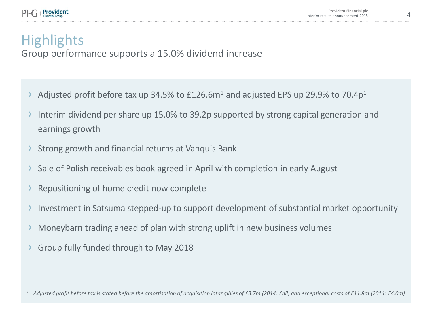# **Highlights**

Group performance supports a 15.0% dividend increase

- Adjusted profit before tax up 34.5% to  $£126.6m<sup>1</sup>$  and adjusted EPS up 29.9% to 70.4p<sup>1</sup>
- Interim dividend per share up 15.0% to 39.2p supported by strong capital generation and earnings growth
- Strong growth and financial returns at Vanquis Bank
- › Sale of Polish receivables book agreed in April with completion in early August
- Repositioning of home credit now complete
- Investment in Satsuma stepped-up to support development of substantial market opportunity
- › Moneybarn trading ahead of plan with strong uplift in new business volumes
- › Group fully funded through to May 2018

<sup>1</sup> Adjusted profit before tax is stated before the amortisation of acquisition intangibles of £3.7m (2014: £nil) and exceptional costs of £11.8m (2014: £4.0m)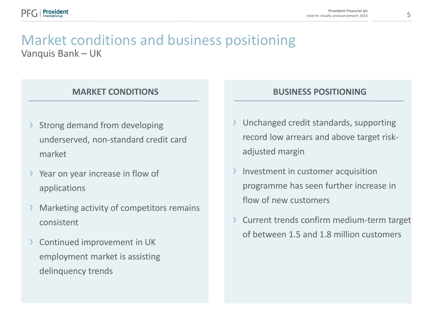## Vanquis Bank – UK Market conditions and business positioning

- Strong demand from developing underserved, non-standard credit card market
- › Year on year increase in flow of applications
- Marketing activity of competitors remains consistent
- Continued improvement in UK employment market is assisting delinquency trends

#### **MARKET CONDITIONS BUSINESS POSITIONING**

- › Unchanged credit standards, supporting record low arrears and above target riskadjusted margin
- Investment in customer acquisition programme has seen further increase in flow of new customers
- Current trends confirm medium-term target of between 1.5 and 1.8 million customers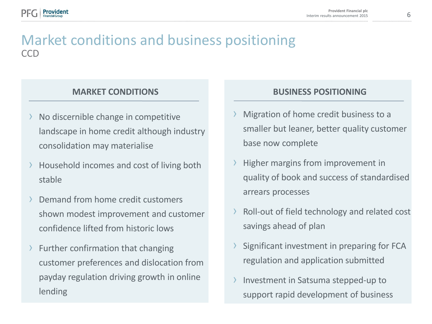## CCD Market conditions and business positioning

- No discernible change in competitive landscape in home credit although industry consolidation may materialise
- › Household incomes and cost of living both stable
- Demand from home credit customers shown modest improvement and customer confidence lifted from historic lows
- Further confirmation that changing customer preferences and dislocation from payday regulation driving growth in online lending

#### **MARKET CONDITIONS BUSINESS POSITIONING**

- Migration of home credit business to a smaller but leaner, better quality customer base now complete
- Higher margins from improvement in quality of book and success of standardised arrears processes
- › Roll-out of field technology and related cost savings ahead of plan
- Significant investment in preparing for FCA regulation and application submitted
- Investment in Satsuma stepped-up to support rapid development of business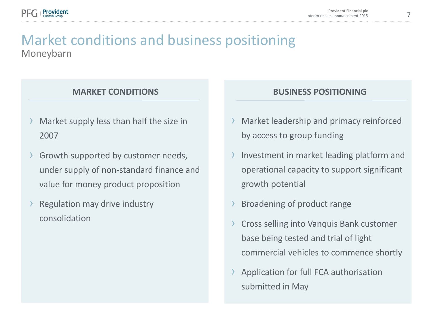

## Moneybarn Market conditions and business positioning

#### **MARKET CONDITIONS**

- Market supply less than half the size in 2007
- Growth supported by customer needs, under supply of non-standard finance and value for money product proposition
- Regulation may drive industry consolidation

#### **BUSINESS POSITIONING**

- Market leadership and primacy reinforced by access to group funding
- Investment in market leading platform and operational capacity to support significant growth potential
- Broadening of product range
- › Cross selling into Vanquis Bank customer base being tested and trial of light commercial vehicles to commence shortly
- Application for full FCA authorisation submitted in May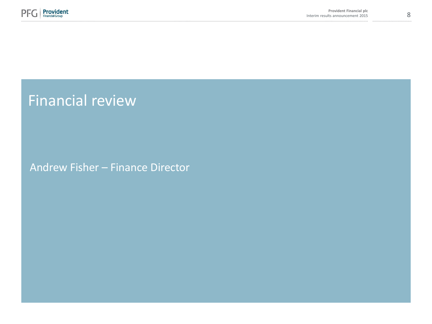

Financial review

Andrew Fisher – Finance Director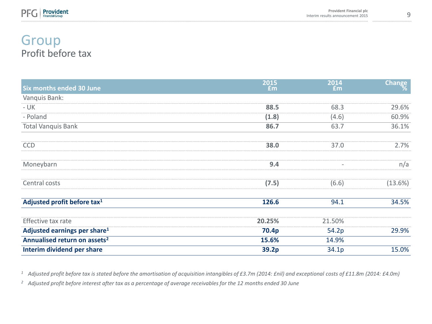

### Profit before tax Group

| <b>Six months ended 30 June</b>          | 2015<br>Em | 2014<br>£m               | Change  |
|------------------------------------------|------------|--------------------------|---------|
| Vanquis Bank:                            |            |                          |         |
| $- UK$                                   | 88.5       | 68.3                     | 29.6%   |
| - Poland                                 | (1.8)      | (4.6)                    | 60.9%   |
| <b>Total Vanquis Bank</b>                | 86.7       | 63.7                     | 36.1%   |
| <b>CCD</b>                               | 38.0       | 37.0                     | 2.7%    |
| Moneybarn                                | 9.4        | $\overline{\phantom{a}}$ | n/a     |
| Central costs                            | (7.5)      | (6.6)                    | (13.6%) |
| Adjusted profit before tax <sup>1</sup>  | 126.6      | 94.1                     | 34.5%   |
| Effective tax rate                       | 20.25%     | 21.50%                   |         |
| Adjusted earnings per share <sup>1</sup> | 70.4p      | 54.2p                    | 29.9%   |
| Annualised return on assets <sup>2</sup> | 15.6%      | 14.9%                    |         |
| Interim dividend per share               | 39.2p      | 34.1p                    | 15.0%   |

<sup>1</sup> Adjusted profit before tax is stated before the amortisation of acquisition intangibles of £3.7m (2014: £nil) and exceptional costs of £11.8m (2014: £4.0m)

*<sup>2</sup> Adjusted profit before interest after tax as a percentage of average receivables for the 12 months ended 30 June*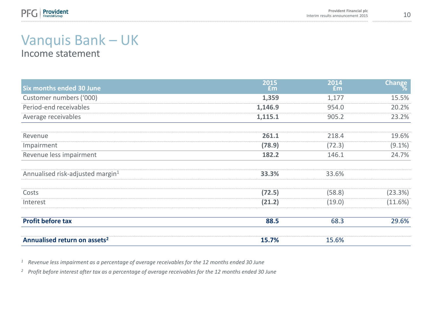

# Vanquis Bank – UK

Income statement

| <b>Six months ended 30 June</b>              | 2015<br>Em | 2014<br>Em | Change    |
|----------------------------------------------|------------|------------|-----------|
| Customer numbers ('000)                      | 1,359      | 1,177      | 15.5%     |
| Period-end receivables                       | 1,146.9    | 954.0      | 20.2%     |
| Average receivables                          | 1,115.1    | 905.2      | 23.2%     |
| Revenue                                      | 261.1      | 218.4      | 19.6%     |
| Impairment                                   | (78.9)     | (72.3)     | $(9.1\%)$ |
| Revenue less impairment                      | 182.2      | 146.1      | 24.7%     |
| Annualised risk-adjusted margin <sup>1</sup> | 33.3%      | 33.6%      |           |
| Costs                                        | (72.5)     | (58.8)     | (23.3%)   |
| Interest                                     | (21.2)     | (19.0)     | (11.6%)   |
| <b>Profit before tax</b>                     | 88.5       | 68.3       | 29.6%     |
| Annualised return on assets <sup>2</sup>     | 15.7%      | 15.6%      |           |

*<sup>1</sup> Revenue less impairment as a percentage of average receivables for the 12 months ended 30 June*

*<sup>2</sup> Profit before interest after tax as a percentage of average receivables for the 12 months ended 30 June*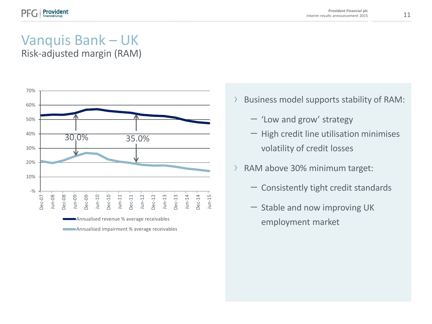# Vanquis Bank – UK

Risk-adjusted margin (RAM)



- › Business model supports stability of RAM:
	- 'Low and grow' strategy
	- High credit line utilisation minimises volatility of credit losses
- › RAM above 30% minimum target:
	- Consistently tight credit standards
	- Stable and now improving UK employment market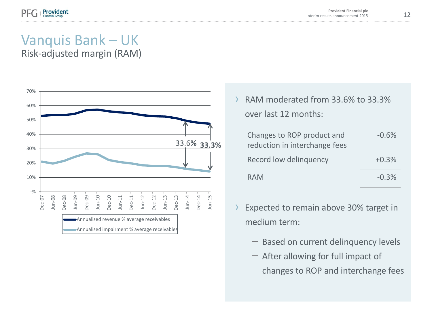# Vanquis Bank – UK

Risk-adjusted margin (RAM)



RAM moderated from 33.6% to 33.3% over last 12 months:

| Changes to ROP product and    | $-0.6%$ |
|-------------------------------|---------|
| reduction in interchange fees |         |
| Record low delinguency        | $+0.3%$ |
| <b>RAM</b>                    | $-0.3%$ |

- Expected to remain above 30% target in medium term:
	- Based on current delinquency levels
	- After allowing for full impact of changes to ROP and interchange fees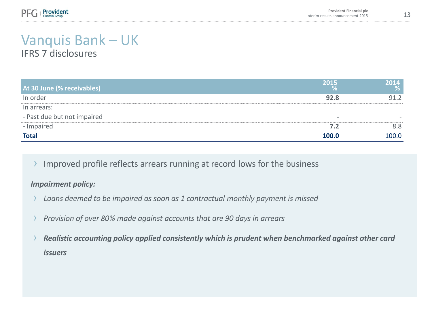

#### Vanquis Bank – UK IFRS 7 disclosures

**At 30 June (% receivables) 2015 % 2014 %** In order **92.8** 91.2 In arrears: - Past due but not impaired - Impaired **7.2** 8.8 **Total 100.0** 100.0

Improved profile reflects arrears running at record lows for the business

#### *Impairment policy:*

- Loans deemed to be impaired as soon as 1 contractual monthly payment is missed
- › *Provision of over 80% made against accounts that are 90 days in arrears*
- › *Realistic accounting policy applied consistently which is prudent when benchmarked against other card issuers*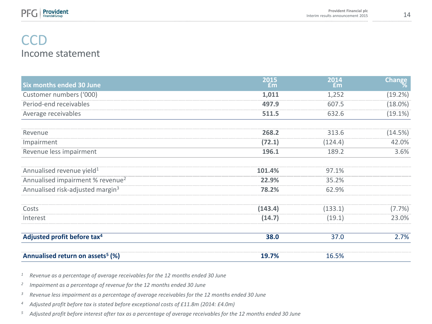

### Income statement **CCD**

| <b>Six months ended 30 June</b>              | 2015<br><b>Em</b> | 2014<br>£m | <b>Change</b> |
|----------------------------------------------|-------------------|------------|---------------|
| Customer numbers ('000)                      | 1,011             | 1,252      | (19.2%)       |
| Period-end receivables                       | 497.9             | 607.5      | $(18.0\%)$    |
| Average receivables                          | 511.5             | 632.6      | $(19.1\%)$    |
| Revenue                                      | 268.2             | 313.6      | (14.5%)       |
| Impairment                                   | (72.1)            | (124.4)    | 42.0%         |
| Revenue less impairment                      | 196.1             | 189.2      | 3.6%          |
| Annualised revenue yield <sup>1</sup>        | 101.4%            | 97.1%      |               |
| Annualised impairment % revenue <sup>2</sup> | 22.9%             | 35.2%      |               |
| Annualised risk-adjusted margin <sup>3</sup> | 78.2%             | 62.9%      |               |
| Costs                                        | (143.4)           | (133.1)    | (7.7%)        |
| Interest                                     | (14.7)            | (19.1)     | 23.0%         |
| Adjusted profit before tax <sup>4</sup>      | 38.0              | 37.0       | 2.7%          |
| Annualised return on assets <sup>5</sup> (%) | 19.7%             | 16.5%      |               |

*<sup>1</sup> Revenue as a percentage of average receivables for the 12 months ended 30 June*

*2 Impairment as a percentage of revenue for the 12 months ended 30 June*

*<sup>3</sup> Revenue less impairment as a percentage of average receivables for the 12 months ended 30 June*

*<sup>4</sup> Adjusted profit before tax is stated before exceptional costs of £11.8m (2014: £4.0m)*

*<sup>5</sup> Adjusted profit before interest after tax as a percentage of average receivables for the 12 months ended 30 June*

......................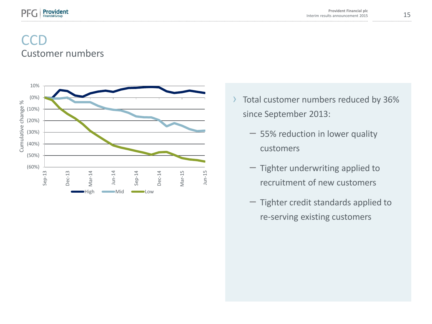

## Customer numbers **CCD**



- › Total customer numbers reduced by 36% since September 2013:
	- 55% reduction in lower quality customers
	- Tighter underwriting applied to recruitment of new customers
	- Tighter credit standards applied to re-serving existing customers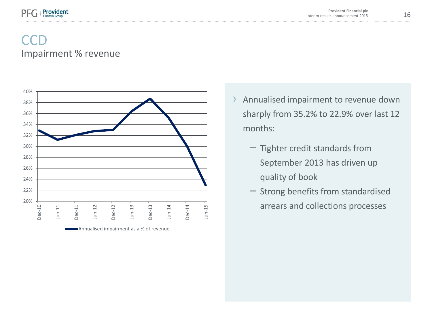

## Impairment % revenue **CCD**



- › Annualised impairment to revenue down sharply from 35.2% to 22.9% over last 12 months:
	- Tighter credit standards from September 2013 has driven up quality of book
	- Strong benefits from standardised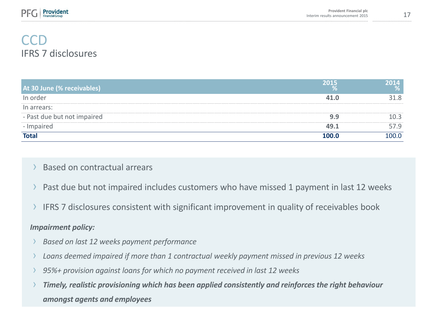

## **CCD** IFRS 7 disclosures

| At 30 June (% receivables)  | 2015  | 2014  |
|-----------------------------|-------|-------|
| In order                    | 41.0  | 31.8  |
| In arrears:                 |       |       |
| - Past due but not impaired | 9.9   | 10.3  |
| - Impaired                  | 49.1  | 57.9  |
| <b>Total</b>                | 100.0 | 100.0 |

#### › Based on contractual arrears

- Past due but not impaired includes customers who have missed 1 payment in last 12 weeks
- › IFRS 7 disclosures consistent with significant improvement in quality of receivables book

#### *Impairment policy:*

- › *Based on last 12 weeks payment performance*
- › *Loans deemed impaired if more than 1 contractual weekly payment missed in previous 12 weeks*
- › *95%+ provision against loans for which no payment received in last 12 weeks*
- › *Timely, realistic provisioning which has been applied consistently and reinforces the right behaviour amongst agents and employees*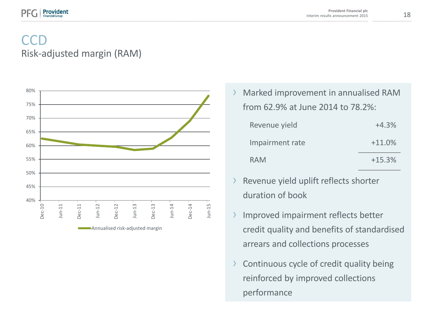

## Risk-adjusted margin (RAM) **CCD**



Marked improvement in annualised RAM from 62.9% at June 2014 to 78.2%:

| Revenue yield   | $+4.3%$  |
|-----------------|----------|
| Impairment rate | $+11.0%$ |
| <b>RAM</b>      | $+15.3%$ |

- › Revenue yield uplift reflects shorter duration of book
- › Improved impairment reflects better credit quality and benefits of standardised arrears and collections processes
- › Continuous cycle of credit quality being reinforced by improved collections performance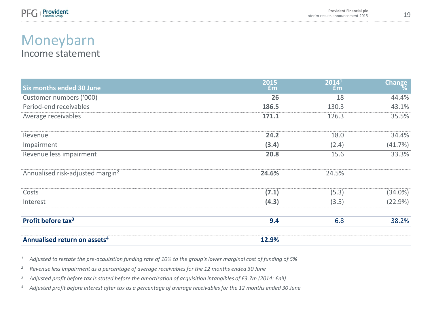

### Income statement Moneybarn

| <b>Six months ended 30 June</b>              | 2015<br><b>£m</b> | 2014 <sup>1</sup><br>Em | Change     |
|----------------------------------------------|-------------------|-------------------------|------------|
| Customer numbers ('000)                      | 26                | 18                      | 44.4%      |
| Period-end receivables                       | 186.5             | 130.3                   | 43.1%      |
| Average receivables                          | 171.1             | 126.3                   | 35.5%      |
| Revenue                                      | 24.2              | 18.0                    | 34.4%      |
| Impairment                                   | (3.4)             | (2.4)                   | (41.7%)    |
| Revenue less impairment                      | 20.8              | 15.6                    | 33.3%      |
| Annualised risk-adjusted margin <sup>2</sup> | 24.6%             | 24.5%                   |            |
| Costs                                        | (7.1)             | (5.3)                   | $(34.0\%)$ |
| Interest                                     | (4.3)             | (3.5)                   | (22.9%)    |
| Profit before tax <sup>3</sup>               | 9.4               | 6.8                     | 38.2%      |
| Annualised return on assets <sup>4</sup>     | 12.9%             |                         |            |

- *<sup>1</sup> Adjusted to restate the pre-acquisition funding rate of 10% to the group's lower marginal cost of funding of 5%*
- *<sup>2</sup> Revenue less impairment as a percentage of average receivables for the 12 months ended 30 June*
- *<sup>3</sup> Adjusted profit before tax is stated before the amortisation of acquisition intangibles of £3.7m (2014: £nil)*
- *<sup>4</sup> Adjusted profit before interest after tax as a percentage of average receivables for the 12 months ended 30 June*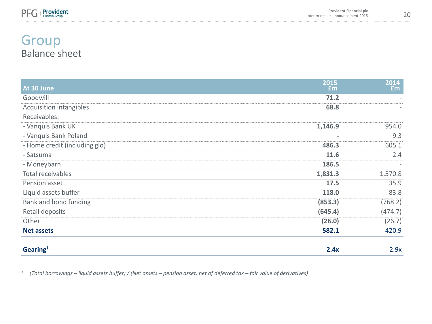

## Group Balance sheet

| At 30 June                    | 2015<br>Em | 2014<br>Em <sub>1</sub>  |
|-------------------------------|------------|--------------------------|
| Goodwill                      | 71.2       |                          |
| Acquisition intangibles       | 68.8       | $\sim$                   |
| Receivables:                  |            |                          |
| - Vanquis Bank UK             | 1,146.9    | 954.0                    |
| - Vanquis Bank Poland         | ٠          | 9.3                      |
| - Home credit (including glo) | 486.3      | 605.1                    |
| - Satsuma                     | 11.6       | 2.4                      |
| - Moneybarn                   | 186.5      | $\overline{\phantom{a}}$ |
| Total receivables             | 1,831.3    | 1,570.8                  |
| Pension asset                 | 17.5       | 35.9                     |
| Liquid assets buffer          | 118.0      | 83.8                     |
| Bank and bond funding         | (853.3)    | (768.2)                  |
| Retail deposits               | (645.4)    | (474.7)                  |
| Other                         | (26.0)     | (26.7)                   |
| <b>Net assets</b>             | 582.1      | 420.9                    |
| Gearing <sup>1</sup>          | 2.4x       | 2.9x                     |

*1 (Total borrowings – liquid assets buffer) / (Net assets – pension asset, net of deferred tax – fair value of derivatives)*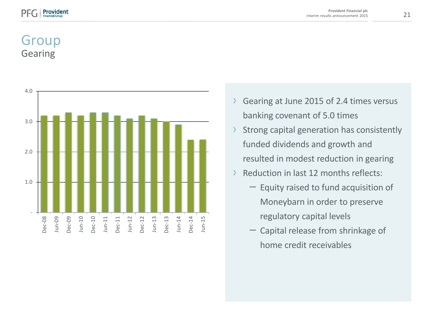## Group Gearing



- › Gearing at June 2015 of 2.4 times versus banking covenant of 5.0 times
- › Strong capital generation has consistently funded dividends and growth and resulted in modest reduction in gearing
- › Reduction in last 12 months reflects:
	- Equity raised to fund acquisition of Moneybarn in order to preserve regulatory capital levels
	- Capital release from shrinkage of home credit receivables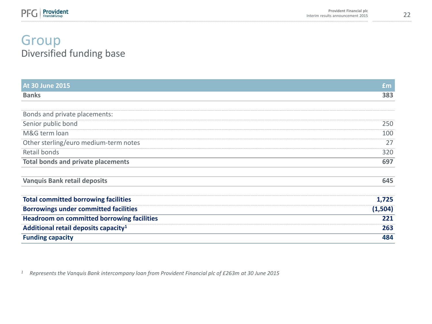

## Group Diversified funding base

| <b>At 30 June 2015</b>                            | <b>£m</b> |
|---------------------------------------------------|-----------|
| <b>Banks</b>                                      | 383       |
|                                                   |           |
| Bonds and private placements:                     |           |
| Senior public bond                                | 250       |
| M&G term loan                                     | 100       |
| Other sterling/euro medium-term notes             | 27        |
| Retail bonds                                      | 320       |
| <b>Total bonds and private placements</b>         | 697       |
| <b>Vanquis Bank retail deposits</b>               | 645       |
| <b>Total committed borrowing facilities</b>       | 1,725     |
| <b>Borrowings under committed facilities</b>      | (1, 504)  |
| <b>Headroom on committed borrowing facilities</b> | 221       |
| Additional retail deposits capacity <sup>1</sup>  | 263       |
| <b>Funding capacity</b>                           | 484       |

*<sup>1</sup> Represents the Vanquis Bank intercompany loan from Provident Financial plc of £263m at 30 June 2015*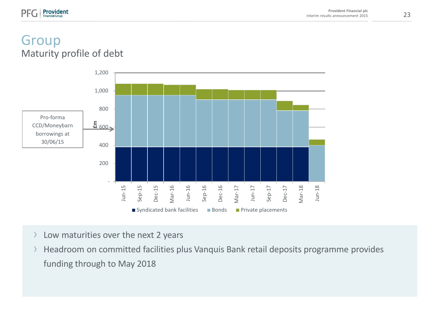### Group Maturity profile of debt

rovident



- › Low maturities over the next 2 years
- › Headroom on committed facilities plus Vanquis Bank retail deposits programme provides funding through to May 2018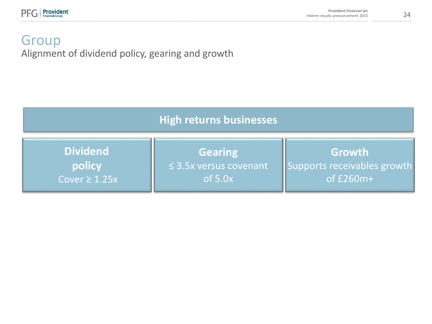

## Group Alignment of dividend policy, gearing and growth

| <b>High returns businesses</b> |                             |                             |
|--------------------------------|-----------------------------|-----------------------------|
| <b>Dividend</b>                | <b>Gearing</b>              | Growth                      |
| policy                         | $\leq$ 3.5x versus covenant | Supports receivables growth |
| Cover $\geq 1.25x$             | of $5.0x$                   | of £260m+                   |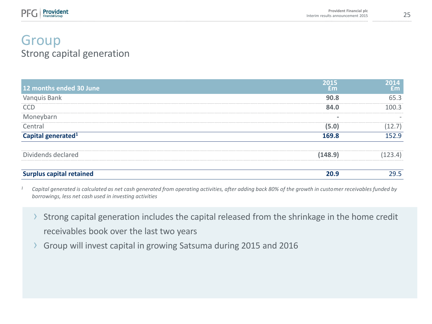## Group Strong capital generation

| 12 months ended 30 June         | 2015<br><b>fm</b> | $2014$<br>$\text{fm}$ |
|---------------------------------|-------------------|-----------------------|
| Vanquis Bank                    | 90.8              | 65.3                  |
| <b>CCD</b>                      | 84.0              | 100.3                 |
| Moneybarn                       |                   |                       |
| Central                         | (5.0)             | (12.7)                |
| Capital generated <sup>1</sup>  | 169.8             | 152.9                 |
| Dividends declared              | (148.9)           | (123.4)               |
| <b>Surplus capital retained</b> | 20.9              | 29.5                  |

*<sup>1</sup> Capital generated is calculated as net cash generated from operating activities, after adding back 80% of the growth in customer receivables funded by borrowings, less net cash used in investing activities*

- Strong capital generation includes the capital released from the shrinkage in the home credit receivables book over the last two years
- › Group will invest capital in growing Satsuma during 2015 and 2016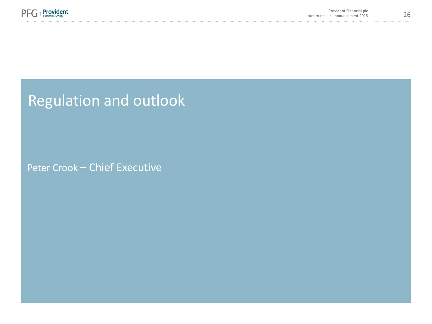

Regulation and outlook

Peter Crook – Chief Executive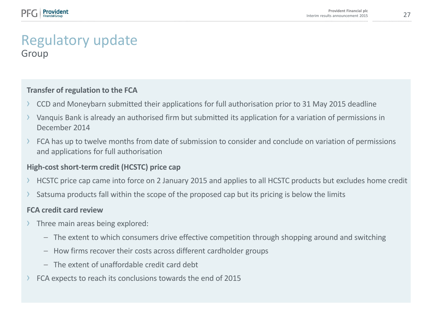#### Regulatory update Group

#### **Transfer of regulation to the FCA**

- › CCD and Moneybarn submitted their applications for full authorisation prior to 31 May 2015 deadline
- › Vanquis Bank is already an authorised firm but submitted its application for a variation of permissions in December 2014
- FCA has up to twelve months from date of submission to consider and conclude on variation of permissions and applications for full authorisation

#### **High-cost short-term credit (HCSTC) price cap**

- › HCSTC price cap came into force on 2 January 2015 and applies to all HCSTC products but excludes home credit
- Satsuma products fall within the scope of the proposed cap but its pricing is below the limits

#### **FCA credit card review**

- › Three main areas being explored:
	- The extent to which consumers drive effective competition through shopping around and switching
	- How firms recover their costs across different cardholder groups
	- The extent of unaffordable credit card debt
- FCA expects to reach its conclusions towards the end of 2015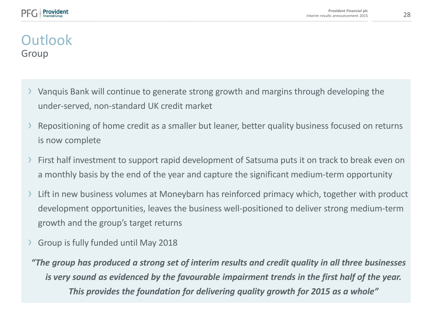## **Outlook** Group

- › Vanquis Bank will continue to generate strong growth and margins through developing the under-served, non-standard UK credit market
- Repositioning of home credit as a smaller but leaner, better quality business focused on returns is now complete
- › First half investment to support rapid development of Satsuma puts it on track to break even on a monthly basis by the end of the year and capture the significant medium-term opportunity
- › Lift in new business volumes at Moneybarn has reinforced primacy which, together with product development opportunities, leaves the business well-positioned to deliver strong medium-term growth and the group's target returns
- › Group is fully funded until May 2018

*"The group has produced a strong set of interim results and credit quality in all three businesses is very sound as evidenced by the favourable impairment trends in the first half of the year. This provides the foundation for delivering quality growth for 2015 as a whole"*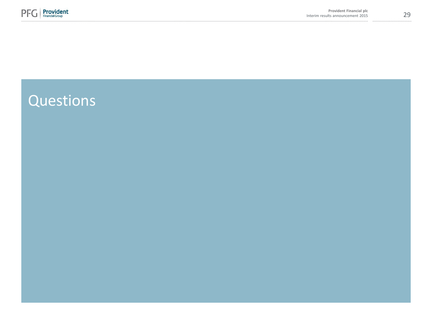

# Questions